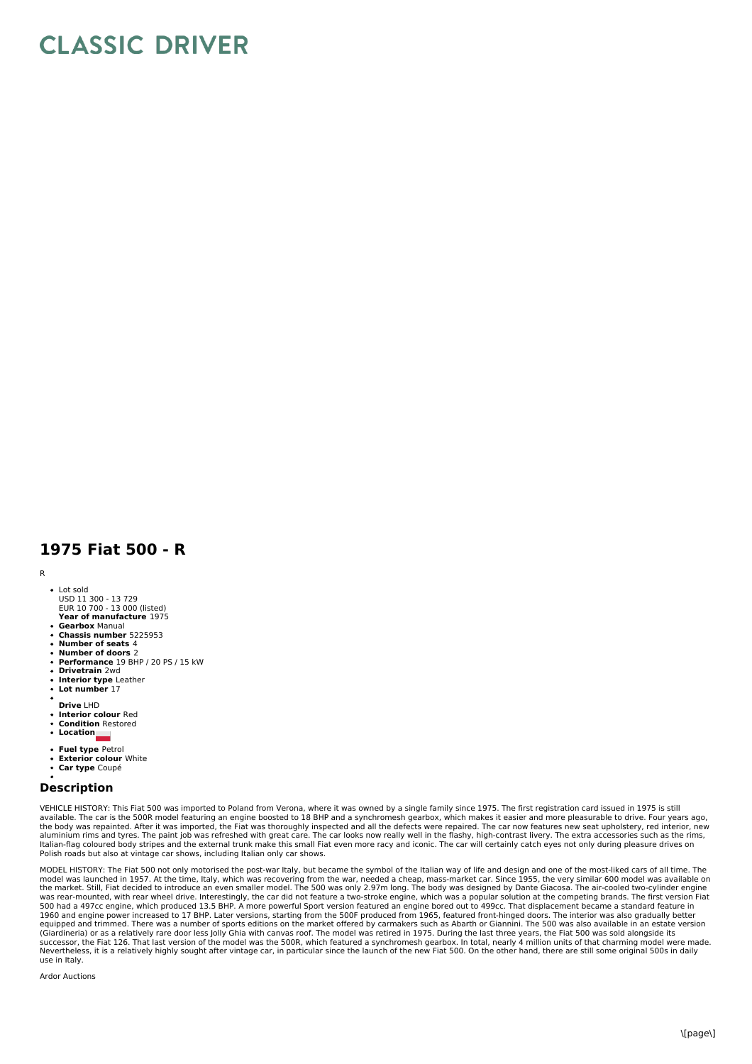## **CLASSIC DRIVER**

## **1975 Fiat 500 - R**

## R

- Lot sold USD 11 300 - 13 729 EUR 10 700 - 13 000 (listed)
- **Year of manufacture** 1975 **Gearbox** Manual
- **Chassis number** 5225953
- 
- **Number of seats** 4 **Number of doors** 2
- **Performance** 19 BHP / 20 PS / 15 kW **Drivetrain** 2wd
- 
- **Interior type** Leather **Lot number** 17
- 
- **Drive** LHD
- $\ddot{\phantom{a}}$ **Interior colour** Red
- **Condition** Restored
- **Location**
- **Fuel type** Petrol
- **Exterior colour** White
- **Car type** Coupé

## **Description**

VEHICLE HISTORY: This Fiat 500 was imported to Poland from Verona, where it was owned by a single family since 1975. The first registration card issued in 1975 is still available. The car is the 500R model featuring an engine boosted to 18 BHP and a synchromesh gearbox, which makes it easier and more pleasurable to drive. Four years ago,<br>the body was repainted. After it was imported, the aluminium rims and tyres. The paint job was refreshed with great care. The car looks now really well in the flashy, high-contrast livery. The extra accessories such as the rims,<br>Italian-flag coloured body stripes and the e Polish roads but also at vintage car shows, including Italian only car shows.

MODEL HISTORY: The Fiat 500 not only motorised the post-war Italy, but became the symbol of the Italian way of life and design and one of the most-liked cars of all time. The model was launched in 1957. At the time, Italy, which was recovering from the war, needed a cheap, mass-market car. Since 1955, the very similar 600 model was available on<br>the market. Still, Fiat decided to introduce an ev was rear-mounted, with rear wheel drive. Interestingly, the car did not feature a two-stroke engine, which was a popular solution at the competing brands. The first version Fiat<br>500 had a 497cc engine, which produced 13.5 use in Italy.

Ardor Auctions